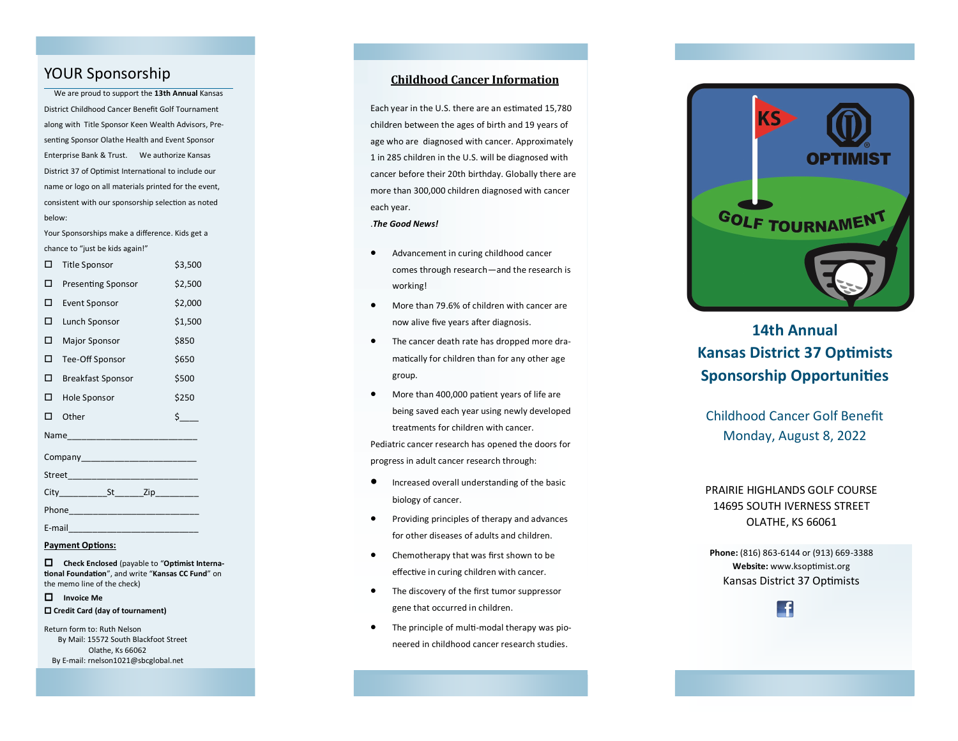# YOUR Sponsorship

 We are proud to support the **13th Annual** Kansas District Childhood Cancer Benefit Golf Tournament along with Title Sponsor Keen Wealth Advisors, Presenting Sponsor Olathe Health and Event Sponsor Enterprise Bank & Trust. We authorize Kansas District 37 of Optimist International to include our name or logo on all materials printed for the event, consistent with our sponsorship selection as noted below:

Your Sponsorships make a difference. Kids get a chance to "just be kids again! "

| п           | <b>Title Sponsor</b>      | \$3,500            |
|-------------|---------------------------|--------------------|
| п           | <b>Presenting Sponsor</b> | \$2,500            |
| п           | Event Sponsor             | \$2,000            |
| п           | Lunch Sponsor             | \$1,500            |
| п           | <b>Major Sponsor</b>      | \$850              |
| п           | Tee-Off Sponsor           | \$650              |
| п           | <b>Breakfast Sponsor</b>  | \$500              |
| п           | Hole Sponsor              | \$250              |
| п           | Other                     | $\mathsf{\dot{S}}$ |
|             |                           |                    |
|             |                           |                    |
|             |                           |                    |
| City St Zip |                           |                    |
| Phone Phone |                           |                    |
| E-mail      |                           |                    |

#### **Payment Options:**

 **Check Enclosed** (payable to "**Optimist International Foundation**", and write "**Kansas CC Fund**" on the memo line of the check)

# **Invoice Me Credit Card (day of tournament)**

Return form to: Ruth Nelson By Mail: 15572 South Blackfoot Street Olathe, Ks 66062 By E -mail: rnelson1021@sbcglobal.net

# **Childhood Cancer Information**

Each year in the U.S. there are an estimated 15,780 children between the ages of birth and 19 years of age who are diagnosed with cancer. Approximately 1 in 285 children in the U.S. will be diagnosed with cancer before their 20th birthday. Globally there are more than 300,000 children diagnosed with cancer each year. .*The Good News!*

- Advancement in curing childhood cancer comes through research —and the research is working!
- More than 79.6% of children with cancer are now alive five years after diagnosis.
- The cancer death rate has dropped more dramatically for children than for any other age group.
- More than 400,000 patient years of life are being saved each year using newly developed treatments for children with cancer. Pediatric cancer research has opened the doors for progress in adult cancer research through:
- Increased overall understanding of the basic biology of cancer.
- Providing principles of therapy and advances for other diseases of adults and children.
- Chemotherapy that was first shown to be effective in curing children with cancer.
- The discovery of the first tumor suppressor gene that occurred in children.
- The principle of multi -modal therapy was pioneered in childhood cancer research studies.



# **14th Annual Kansas District 37 Optimists Sponsorship Opportunities**

Childhood Cancer Golf Benefit Monday, August 8, 2022

# PRAIRIE HIGHLANDS GOLF COURSE 14695 SOUTH IVERNESS STREET OLATHE, KS 66061

**Phone:** (816) 863 -6144 or (913) 669 -3388 **Website:** www.ksoptimist.org Kansas District 37 Optimists

 $\left| \cdot \right|$